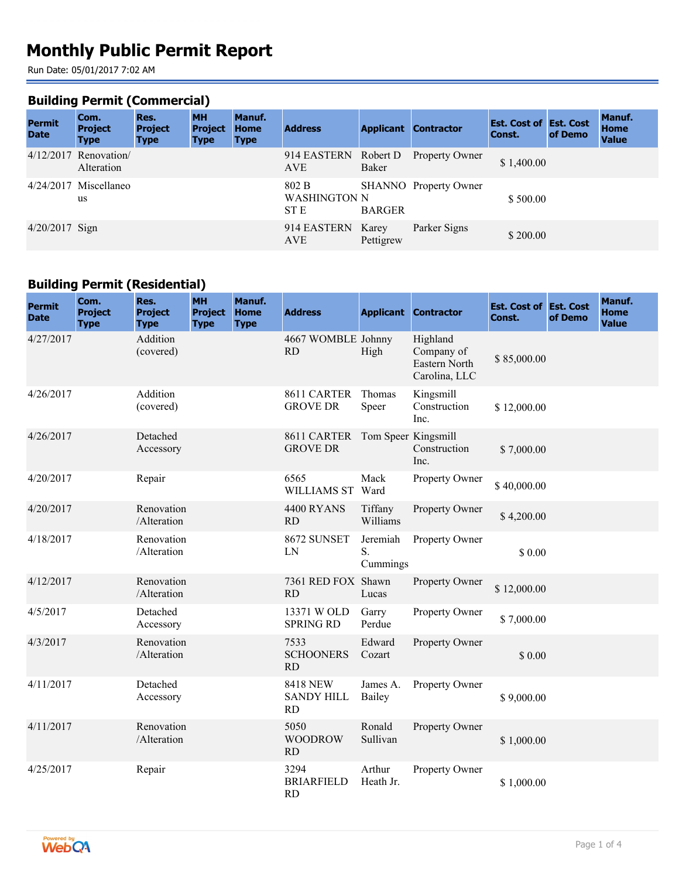# **Monthly Public Permit Report**

Run Date: 05/01/2017 7:02 AM

#### **Building Permit (Commercial)**

| <b>Permit</b><br><b>Date</b> | Com.<br><b>Project</b><br><b>Type</b> | Res.<br><b>Project</b><br><b>Type</b> | <b>MH</b><br><b>Project</b><br><b>Type</b> | Manuf.<br><b>Home</b><br><b>Type</b> | <b>Address</b>                       |               | <b>Applicant Contractor</b> | <b>Est. Cost of Est. Cost</b><br>Const. | of Demo | Manuf.<br><b>Home</b><br><b>Value</b> |
|------------------------------|---------------------------------------|---------------------------------------|--------------------------------------------|--------------------------------------|--------------------------------------|---------------|-----------------------------|-----------------------------------------|---------|---------------------------------------|
|                              | $4/12/2017$ Renovation<br>Alteration  |                                       |                                            |                                      | 914 EASTERN Robert D<br><b>AVE</b>   | Baker         | <b>Property Owner</b>       | \$1,400.00                              |         |                                       |
|                              | $4/24/2017$ Miscellaneo<br>us         |                                       |                                            |                                      | 802 B<br><b>WASHINGTON N</b><br>ST E | <b>BARGER</b> | SHANNO Property Owner       | \$500.00                                |         |                                       |
| $4/20/2017$ Sign             |                                       |                                       |                                            |                                      | 914 EASTERN Karey<br><b>AVE</b>      | Pettigrew     | Parker Signs                | \$200.00                                |         |                                       |

# **Building Permit (Residential)**

| <b>Permit</b><br><b>Date</b> | Com.<br><b>Project</b><br><b>Type</b> | Res.<br><b>Project</b><br><b>Type</b> | <b>MH</b><br><b>Project</b><br><b>Type</b> | Manuf.<br><b>Home</b><br><b>Type</b> | <b>Address</b>                                    |                            | <b>Applicant Contractor</b>                              | <b>Est. Cost of Est. Cost</b><br>Const. | of Demo | Manuf.<br><b>Home</b><br><b>Value</b> |
|------------------------------|---------------------------------------|---------------------------------------|--------------------------------------------|--------------------------------------|---------------------------------------------------|----------------------------|----------------------------------------------------------|-----------------------------------------|---------|---------------------------------------|
| 4/27/2017                    |                                       | Addition<br>(covered)                 |                                            |                                      | 4667 WOMBLE Johnny<br><b>RD</b>                   | High                       | Highland<br>Company of<br>Eastern North<br>Carolina, LLC | \$85,000.00                             |         |                                       |
| 4/26/2017                    |                                       | Addition<br>(covered)                 |                                            |                                      | 8611 CARTER<br><b>GROVE DR</b>                    | Thomas<br>Speer            | Kingsmill<br>Construction<br>Inc.                        | \$12,000.00                             |         |                                       |
| 4/26/2017                    |                                       | Detached<br>Accessory                 |                                            |                                      | 8611 CARTER<br><b>GROVE DR</b>                    | Tom Speer Kingsmill        | Construction<br>Inc.                                     | \$7,000.00                              |         |                                       |
| 4/20/2017                    |                                       | Repair                                |                                            |                                      | 6565<br><b>WILLIAMS ST</b>                        | Mack<br>Ward               | Property Owner                                           | \$40,000.00                             |         |                                       |
| 4/20/2017                    |                                       | Renovation<br>/Alteration             |                                            |                                      | 4400 RYANS<br><b>RD</b>                           | Tiffany<br>Williams        | Property Owner                                           | \$4,200.00                              |         |                                       |
| 4/18/2017                    |                                       | Renovation<br>/Alteration             |                                            |                                      | 8672 SUNSET<br>LN                                 | Jeremiah<br>S.<br>Cummings | Property Owner                                           | \$0.00                                  |         |                                       |
| 4/12/2017                    |                                       | Renovation<br>/Alteration             |                                            |                                      | 7361 RED FOX Shawn<br><b>RD</b>                   | Lucas                      | Property Owner                                           | \$12,000.00                             |         |                                       |
| 4/5/2017                     |                                       | Detached<br>Accessory                 |                                            |                                      | 13371 W OLD<br><b>SPRING RD</b>                   | Garry<br>Perdue            | Property Owner                                           | \$7,000.00                              |         |                                       |
| 4/3/2017                     |                                       | Renovation<br>/Alteration             |                                            |                                      | 7533<br><b>SCHOONERS</b><br>RD                    | Edward<br>Cozart           | Property Owner                                           | \$0.00                                  |         |                                       |
| 4/11/2017                    |                                       | Detached<br>Accessory                 |                                            |                                      | <b>8418 NEW</b><br><b>SANDY HILL</b><br><b>RD</b> | James A.<br>Bailey         | Property Owner                                           | \$9,000.00                              |         |                                       |
| 4/11/2017                    |                                       | Renovation<br>/Alteration             |                                            |                                      | 5050<br><b>WOODROW</b><br>RD                      | Ronald<br>Sullivan         | Property Owner                                           | \$1,000.00                              |         |                                       |
| 4/25/2017                    |                                       | Repair                                |                                            |                                      | 3294<br><b>BRIARFIELD</b><br><b>RD</b>            | Arthur<br>Heath Jr.        | Property Owner                                           | \$1,000.00                              |         |                                       |

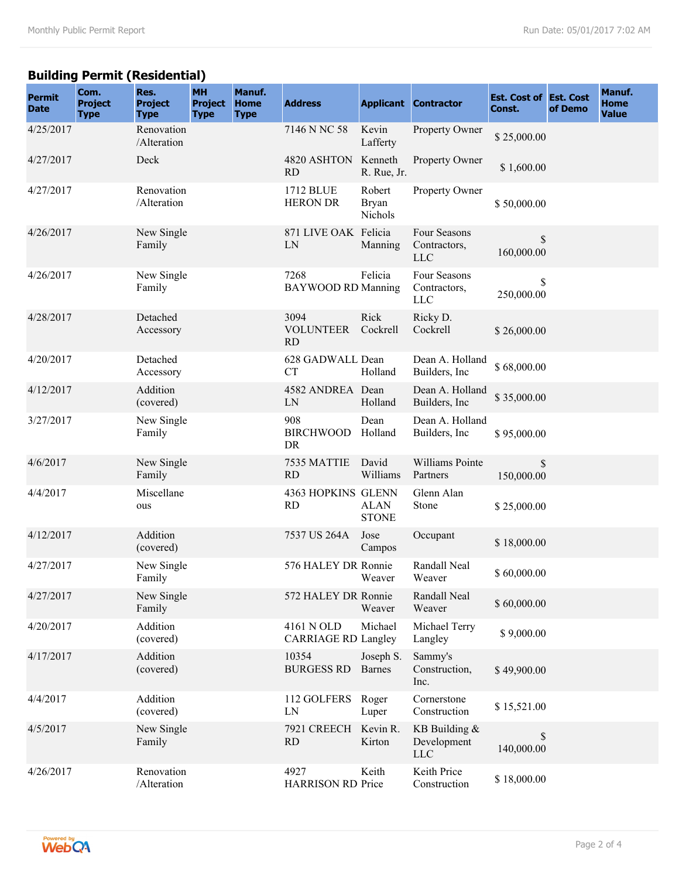# **Building Permit (Residential)**

| <b>Permit</b><br><b>Date</b> | Com.<br><b>Project</b><br><b>Type</b> | Res.<br><b>Project</b><br><b>Type</b> | <b>MH</b><br><b>Project</b><br><b>Type</b> | Manuf.<br><b>Home</b><br><b>Type</b> | <b>Address</b>                           |                                   | <b>Applicant Contractor</b>                | <b>Est. Cost of Est. Cost</b><br>Const. | of Demo | Manuf.<br><b>Home</b><br><b>Value</b> |
|------------------------------|---------------------------------------|---------------------------------------|--------------------------------------------|--------------------------------------|------------------------------------------|-----------------------------------|--------------------------------------------|-----------------------------------------|---------|---------------------------------------|
| 4/25/2017                    |                                       | Renovation<br>/Alteration             |                                            |                                      | 7146 N NC 58                             | Kevin<br>Lafferty                 | Property Owner                             | \$25,000.00                             |         |                                       |
| 4/27/2017                    |                                       | Deck                                  |                                            |                                      | 4820 ASHTON<br><b>RD</b>                 | Kenneth<br>R. Rue, Jr.            | Property Owner                             | \$1,600.00                              |         |                                       |
| 4/27/2017                    |                                       | Renovation<br>/Alteration             |                                            |                                      | 1712 BLUE<br><b>HERON DR</b>             | Robert<br><b>Bryan</b><br>Nichols | Property Owner                             | \$50,000.00                             |         |                                       |
| 4/26/2017                    |                                       | New Single<br>Family                  |                                            |                                      | 871 LIVE OAK Felicia<br>LN               | Manning                           | Four Seasons<br>Contractors,<br><b>LLC</b> | \$<br>160,000.00                        |         |                                       |
| 4/26/2017                    |                                       | New Single<br>Family                  |                                            |                                      | 7268<br><b>BAYWOOD RD Manning</b>        | Felicia                           | Four Seasons<br>Contractors,<br><b>LLC</b> | \$<br>250,000.00                        |         |                                       |
| 4/28/2017                    |                                       | Detached<br>Accessory                 |                                            |                                      | 3094<br><b>VOLUNTEER</b><br><b>RD</b>    | Rick<br>Cockrell                  | Ricky D.<br>Cockrell                       | \$26,000.00                             |         |                                       |
| 4/20/2017                    |                                       | Detached<br>Accessory                 |                                            |                                      | 628 GADWALL Dean<br><b>CT</b>            | Holland                           | Dean A. Holland<br>Builders, Inc.          | \$68,000.00                             |         |                                       |
| 4/12/2017                    |                                       | Addition<br>(covered)                 |                                            |                                      | 4582 ANDREA Dean<br>LN                   | Holland                           | Dean A. Holland<br>Builders, Inc.          | \$35,000.00                             |         |                                       |
| 3/27/2017                    |                                       | New Single<br>Family                  |                                            |                                      | 908<br><b>BIRCHWOOD</b><br>DR            | Dean<br>Holland                   | Dean A. Holland<br>Builders, Inc.          | \$95,000.00                             |         |                                       |
| 4/6/2017                     |                                       | New Single<br>Family                  |                                            |                                      | 7535 MATTIE<br><b>RD</b>                 | David<br>Williams                 | Williams Pointe<br>Partners                | \$<br>150,000.00                        |         |                                       |
| 4/4/2017                     |                                       | Miscellane<br>ous                     |                                            |                                      | 4363 HOPKINS GLENN<br><b>RD</b>          | <b>ALAN</b><br><b>STONE</b>       | Glenn Alan<br>Stone                        | \$25,000.00                             |         |                                       |
| 4/12/2017                    |                                       | Addition<br>(covered)                 |                                            |                                      | 7537 US 264A                             | Jose<br>Campos                    | Occupant                                   | \$18,000.00                             |         |                                       |
| 4/27/2017                    |                                       | New Single<br>Family                  |                                            |                                      | 576 HALEY DR Ronnie                      | Weaver                            | Randall Neal<br>Weaver                     | \$60,000.00                             |         |                                       |
| 4/27/2017                    |                                       | New Single<br>Family                  |                                            |                                      | 572 HALEY DR Ronnie                      | Weaver                            | Randall Neal<br>Weaver                     | \$60,000.00                             |         |                                       |
| 4/20/2017                    |                                       | Addition<br>(covered)                 |                                            |                                      | 4161 N OLD<br><b>CARRIAGE RD Langley</b> | Michael                           | Michael Terry<br>Langley                   | \$9,000.00                              |         |                                       |
| 4/17/2017                    |                                       | Addition<br>(covered)                 |                                            |                                      | 10354<br><b>BURGESS RD</b>               | Joseph S.<br><b>Barnes</b>        | Sammy's<br>Construction,<br>Inc.           | \$49,900.00                             |         |                                       |
| 4/4/2017                     |                                       | Addition<br>(covered)                 |                                            |                                      | 112 GOLFERS<br>LN                        | Roger<br>Luper                    | Cornerstone<br>Construction                | \$15,521.00                             |         |                                       |
| 4/5/2017                     |                                       | New Single<br>Family                  |                                            |                                      | 7921 CREECH<br><b>RD</b>                 | Kevin R.<br>Kirton                | KB Building &<br>Development<br><b>LLC</b> | \$<br>140,000.00                        |         |                                       |
| 4/26/2017                    |                                       | Renovation<br>/Alteration             |                                            |                                      | 4927<br><b>HARRISON RD Price</b>         | Keith                             | Keith Price<br>Construction                | \$18,000.00                             |         |                                       |

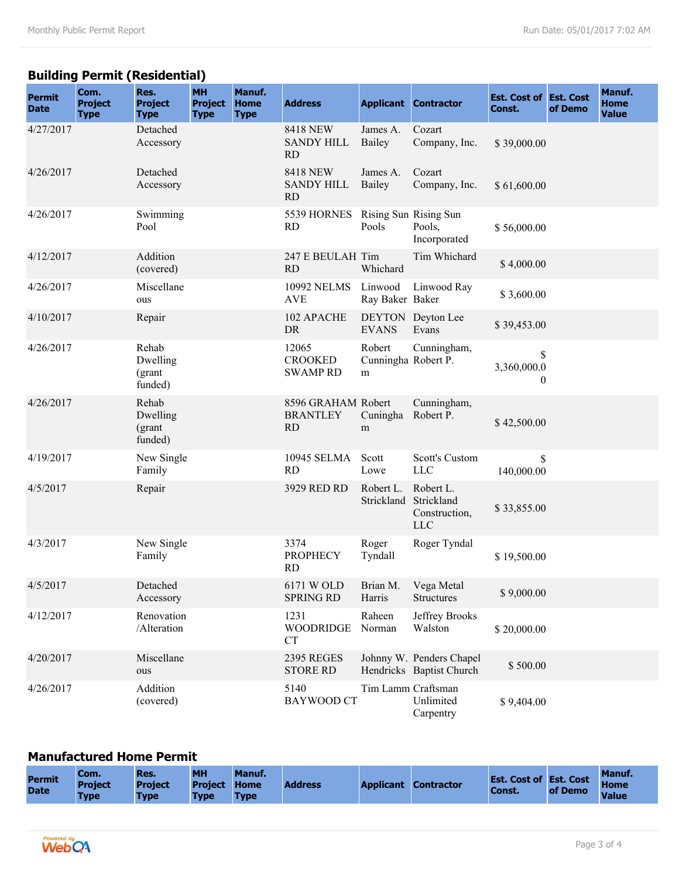# **Building Permit (Residential)**

| <b>Permit</b><br><b>Date</b> | Com.<br><b>Project</b><br><b>Type</b> | Res.<br><b>Project</b><br><b>Type</b>  | <b>MH</b><br><b>Project</b><br><b>Type</b> | Manuf.<br><b>Home</b><br><b>Type</b> | <b>Address</b>                                     |                                    | <b>Applicant Contractor</b>                            | <b>Est. Cost of Est. Cost</b><br>Const. | of Demo | Manuf.<br><b>Home</b><br><b>Value</b> |
|------------------------------|---------------------------------------|----------------------------------------|--------------------------------------------|--------------------------------------|----------------------------------------------------|------------------------------------|--------------------------------------------------------|-----------------------------------------|---------|---------------------------------------|
| 4/27/2017                    |                                       | Detached<br>Accessory                  |                                            |                                      | <b>8418 NEW</b><br><b>SANDY HILL</b><br>RD         | James A.<br>Bailey                 | Cozart<br>Company, Inc.                                | \$39,000.00                             |         |                                       |
| 4/26/2017                    |                                       | Detached<br>Accessory                  |                                            |                                      | <b>8418 NEW</b><br><b>SANDY HILL</b><br><b>RD</b>  | James A.<br>Bailey                 | Cozart<br>Company, Inc.                                | \$61,600.00                             |         |                                       |
| 4/26/2017                    |                                       | Swimming<br>Pool                       |                                            |                                      | 5539 HORNES<br><b>RD</b>                           | Pools                              | Rising Sun Rising Sun<br>Pools,<br>Incorporated        | \$56,000.00                             |         |                                       |
| 4/12/2017                    |                                       | Addition<br>(covered)                  |                                            |                                      | 247 E BEULAH Tim<br>RD                             | Whichard                           | Tim Whichard                                           | \$4,000.00                              |         |                                       |
| 4/26/2017                    |                                       | Miscellane<br>ous                      |                                            |                                      | 10992 NELMS<br><b>AVE</b>                          | Linwood<br>Ray Baker Baker         | Linwood Ray                                            | \$3,600.00                              |         |                                       |
| 4/10/2017                    |                                       | Repair                                 |                                            |                                      | 102 APACHE<br><b>DR</b>                            | <b>EVANS</b>                       | DEYTON Deyton Lee<br>Evans                             | \$39,453.00                             |         |                                       |
| 4/26/2017                    |                                       | Rehab<br>Dwelling<br>(grant<br>funded) |                                            |                                      | 12065<br><b>CROOKED</b><br><b>SWAMP RD</b>         | Robert<br>Cunningha Robert P.<br>m | Cunningham,                                            | \$<br>3,360,000.0<br>$\theta$           |         |                                       |
| 4/26/2017                    |                                       | Rehab<br>Dwelling<br>(grant<br>funded) |                                            |                                      | 8596 GRAHAM Robert<br><b>BRANTLEY</b><br><b>RD</b> | Cuningha<br>m                      | Cunningham,<br>Robert P.                               | \$42,500.00                             |         |                                       |
| 4/19/2017                    |                                       | New Single<br>Family                   |                                            |                                      | 10945 SELMA<br><b>RD</b>                           | Scott<br>Lowe                      | Scott's Custom<br><b>LLC</b>                           | \$<br>140,000.00                        |         |                                       |
| 4/5/2017                     |                                       | Repair                                 |                                            |                                      | 3929 RED RD                                        | Robert L.<br>Strickland            | Robert L.<br>Strickland<br>Construction,<br><b>LLC</b> | \$33,855.00                             |         |                                       |
| 4/3/2017                     |                                       | New Single<br>Family                   |                                            |                                      | 3374<br><b>PROPHECY</b><br>RD                      | Roger<br>Tyndall                   | Roger Tyndal                                           | \$19,500.00                             |         |                                       |
| 4/5/2017                     |                                       | Detached<br>Accessory                  |                                            |                                      | 6171 W OLD<br><b>SPRING RD</b>                     | Brian M.<br>Harris                 | Vega Metal<br><b>Structures</b>                        | \$9,000.00                              |         |                                       |
| 4/12/2017                    |                                       | Renovation<br>/Alteration              |                                            |                                      | 1231<br><b>WOODRIDGE</b><br><b>CT</b>              | Raheen<br>Norman                   | Jeffrey Brooks<br>Walston                              | \$20,000.00                             |         |                                       |
| 4/20/2017                    |                                       | Miscellane<br>ous                      |                                            |                                      | <b>2395 REGES</b><br><b>STORE RD</b>               |                                    | Johnny W. Penders Chapel<br>Hendricks Baptist Church   | \$500.00                                |         |                                       |
| 4/26/2017                    |                                       | Addition<br>(covered)                  |                                            |                                      | 5140<br><b>BAYWOOD CT</b>                          |                                    | Tim Lamm Craftsman<br>Unlimited<br>Carpentry           | \$9,404.00                              |         |                                       |

#### **Manufactured Home Permit**

| <b>Permit</b><br><b>Date</b> | Com.<br><b>Project</b><br><b>Type</b> | Res.<br><b>Project</b><br><b>Type</b> | <b>MH</b><br><b>Project Home</b><br><b>Type</b> | Manuf.<br><b>Type</b> | <b>Address</b> |  | <b>Applicant Contractor</b> | <b>Est. Cost of Est. Cost</b><br>Const. | of Demo | Manuf.<br><b>Home</b><br><b>Value</b> |
|------------------------------|---------------------------------------|---------------------------------------|-------------------------------------------------|-----------------------|----------------|--|-----------------------------|-----------------------------------------|---------|---------------------------------------|
|------------------------------|---------------------------------------|---------------------------------------|-------------------------------------------------|-----------------------|----------------|--|-----------------------------|-----------------------------------------|---------|---------------------------------------|